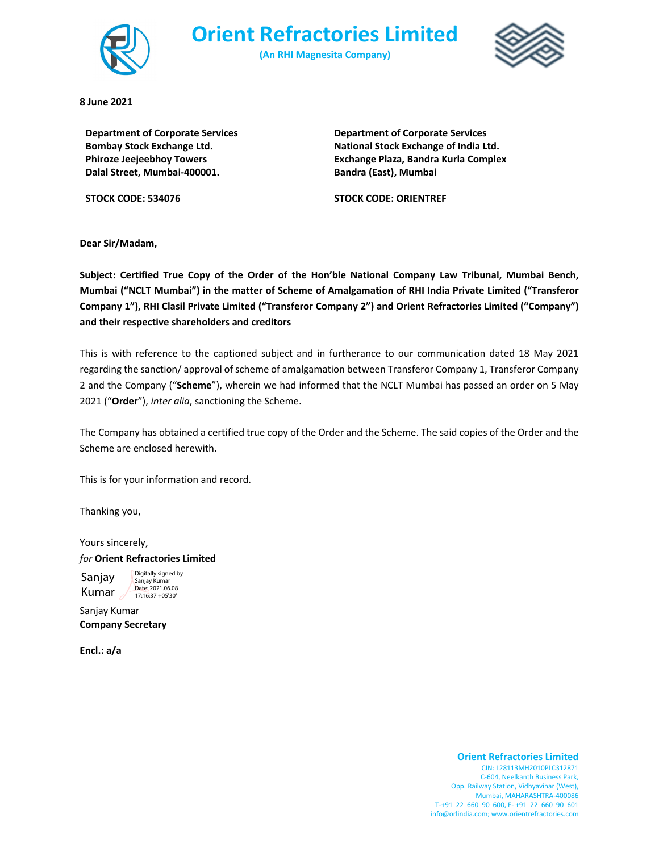

**Orient Refractories Limited (An RHI Magnesita Company)**



**8 June 2021**

**Department of Corporate Services Bombay Stock Exchange Ltd. Phiroze Jeejeebhoy Towers Dalal Street, Mumbai‐400001.**

**STOCK CODE: 534076**

**Department of Corporate Services National Stock Exchange of India Ltd. Exchange Plaza, Bandra Kurla Complex Bandra (East), Mumbai**

**STOCK CODE: ORIENTREF**

**Dear Sir/Madam,**

**Subject: Certified True Copy of the Order of the Hon'ble National Company Law Tribunal, Mumbai Bench, Mumbai ("NCLT Mumbai") in the matter of Scheme of Amalgamation of RHI India Private Limited ("Transferor Company 1"), RHI Clasil Private Limited ("Transferor Company 2") and Orient Refractories Limited ("Company") and their respective shareholders and creditors**

This is with reference to the captioned subject and in furtherance to our communication dated 18 May 2021 regarding the sanction/ approval of scheme of amalgamation between Transferor Company 1, Transferor Company 2 and the Company ("**Scheme**"), wherein we had informed that the NCLT Mumbai has passed an order on 5 May 2021 ("**Order**"), *inter alia*, sanctioning the Scheme.

The Company has obtained a certified true copy of the Order and the Scheme. The said copies of the Order and the Scheme are enclosed herewith.

This is for your information and record.

Thanking you,

Yours sincerely, *for* **Orient Refractories Limited**

Sanjay Kumar

Digitally signed by Sanjay Kumar<br>Date: 2021.06.08 17:16:37 +05'30'

Sanjay Kumar **Company Secretary**

**Encl.: a/a**

# **Orient Refractories Limited**

CIN: L28113MH2010PLC312871 C‐604, Neelkanth Business Park, Opp. Railway Station, Vidhyavihar (West), Mumbai, MAHARASHTRA‐400086 T‐+91 22 660 90 600, F‐ +91 22 660 90 601 info@orlindia.com; www.orientrefractories.com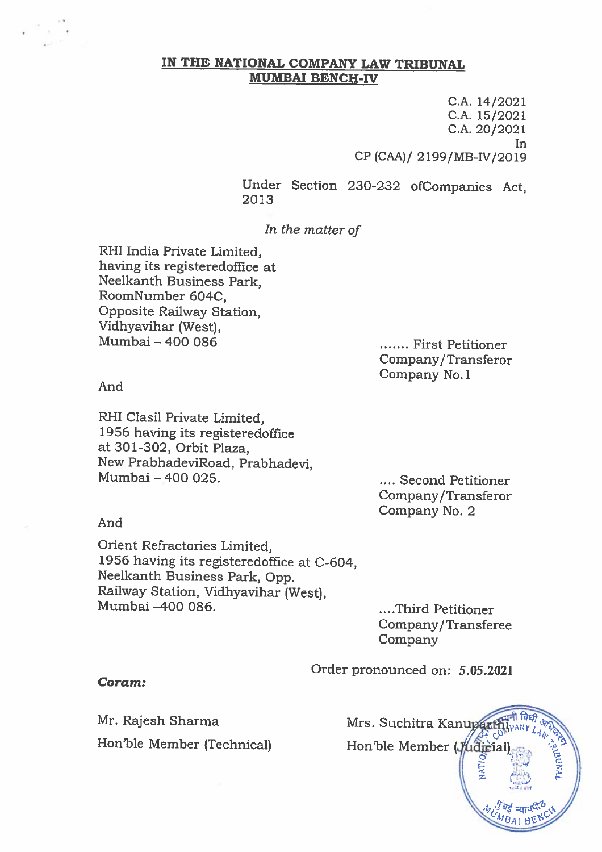C.A. 14/2021  $C.A. 15/2021$ C.A. 20/2021 In. CP (CAA)/ 2199/MB-IV/2019

Under Section 230-232 ofCompanies Act, 2013

In the matter of

RHI India Private Limited, having its registered office at Neelkanth Business Park, RoomNumber 604C, Opposite Railway Station, Vidhyavihar (West), Mumbai - 400 086

....... First Petitioner Company/Transferor Company No.1

And

RHI Clasil Private Limited, 1956 having its registeredoffice at 301-302, Orbit Plaza, New PrabhadeviRoad, Prabhadevi, Mumbai - 400 025.

.... Second Petitioner Company/Transferor Company No. 2

# And

Orient Refractories Limited, 1956 having its registeredoffice at C-604, Neelkanth Business Park, Opp. Railway Station, Vidhyavihar (West). Mumbai -400 086.

....Third Petitioner Company/Transferee Company

# Order pronounced on: 5.05.2021

# Coram:

Mr. Rajesh Sharma Hon'ble Member (Technical) Mrs. Suchitra Kanupatt Hon'ble Member (Judicia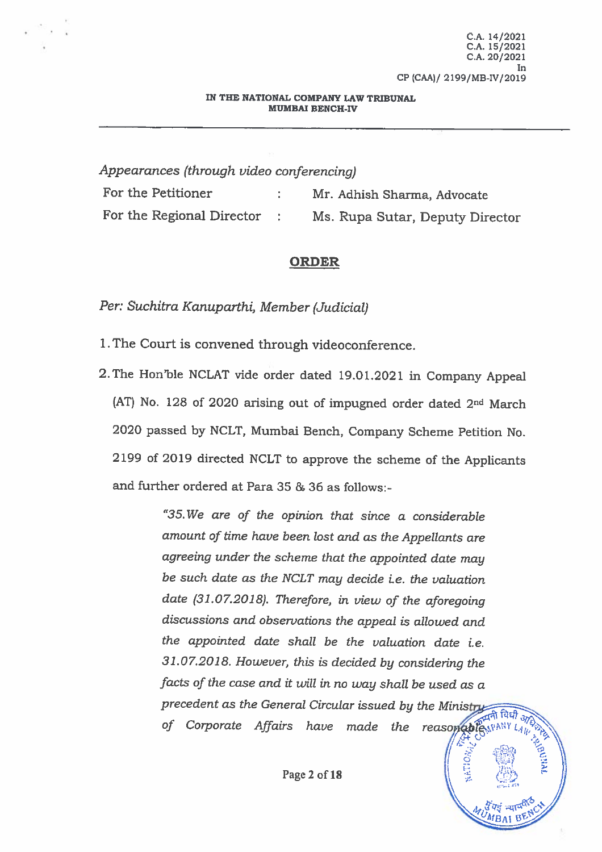Appearances (through video conferencing)

| For the Petitioner        | Mr. Adhish Sharma, Advocate     |
|---------------------------|---------------------------------|
| For the Regional Director | Ms. Rupa Sutar, Deputy Director |

# **ORDER**

Per: Suchitra Kanuparthi, Member (Judicial)

- 1. The Court is convened through videoconference.
- 2. The Hon'ble NCLAT vide order dated 19.01.2021 in Company Appeal (AT) No. 128 of 2020 arising out of impugned order dated 2<sup>nd</sup> March 2020 passed by NCLT, Mumbai Bench, Company Scheme Petition No. 2199 of 2019 directed NCLT to approve the scheme of the Applicants and further ordered at Para 35 & 36 as follows:-

"35. We are of the opinion that since a considerable amount of time have been lost and as the Appellants are agreeing under the scheme that the appointed date may be such date as the NCLT may decide i.e. the valuation date  $(31.07.2018)$ . Therefore, in view of the aforegoing discussions and observations the appeal is allowed and the appointed date shall be the valuation date i.e. 31.07.2018. However, this is decided by considering the facts of the case and it will in no way shall be used as a ART TOWN ONE ONLY precedent as the General Circular issued by the Ministry of Corporate Affairs have made the reasonable  $\limsup_{l \downarrow l_{k}}$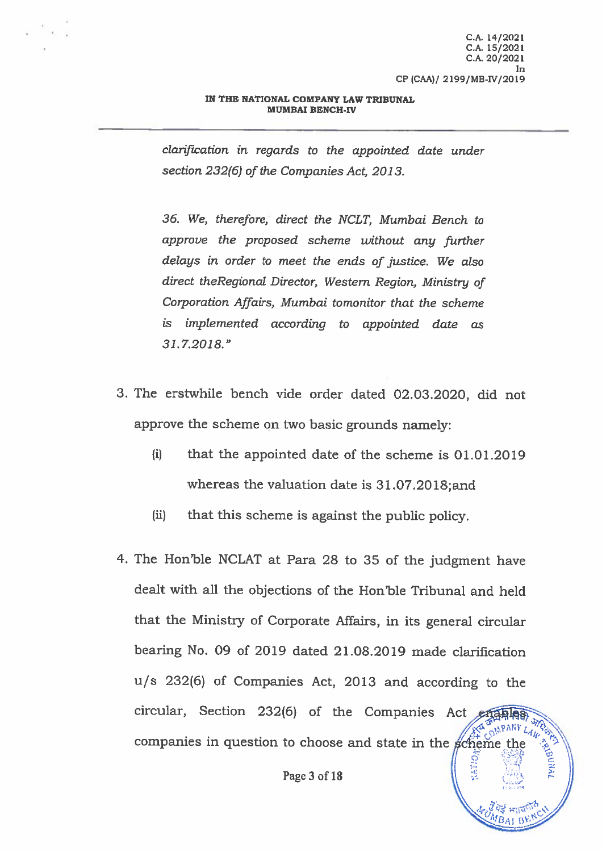THUBURY

#### IN THE NATIONAL COMPANY LAW TRIBUNAL **MUMBAI BENCH-IV**

clarification in regards to the appointed date under section 232(6) of the Companies Act, 2013.

36. We, therefore, direct the NCLT, Mumbai Bench to approve the proposed scheme without any further delays in order to meet the ends of justice. We also direct the Regional Director, Western Region, Ministry of Corporation Affairs, Mumbai tomonitor that the scheme is implemented according to appointed date as 31.7.2018."

- 3. The erstwhile bench vide order dated 02.03.2020, did not approve the scheme on two basic grounds namely:
	- $(i)$ that the appointed date of the scheme is 01.01.2019 whereas the valuation date is 31.07.2018:and
	- $(ii)$ that this scheme is against the public policy.
- 4. The Hon'ble NCLAT at Para 28 to 35 of the judgment have dealt with all the objections of the Hon'ble Tribunal and held that the Ministry of Corporate Affairs, in its general circular bearing No. 09 of 2019 dated 21.08.2019 made clarification u/s 232(6) of Companies Act, 2013 and according to the circular, Section 232(6) of the Companies Act enables **EN OMPANY** companies in question to choose and state in the scheme the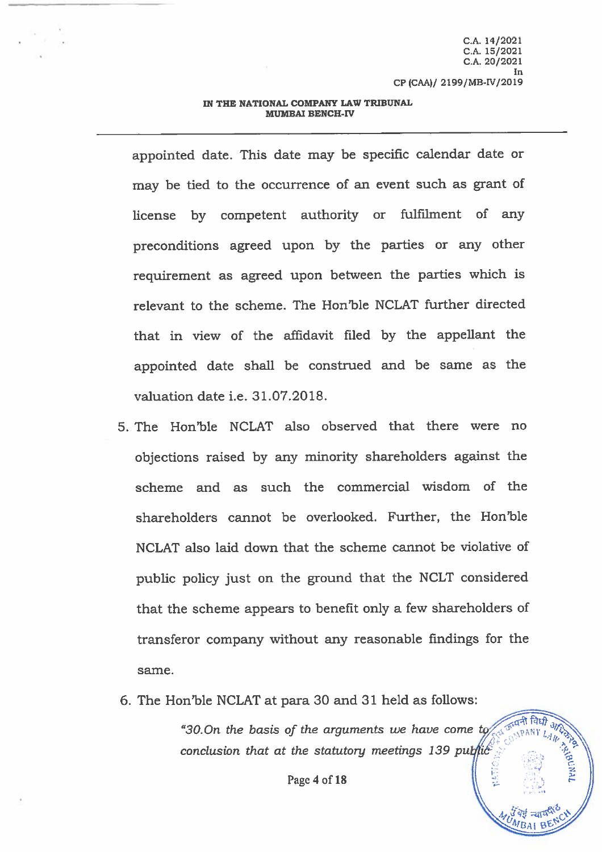C.A. 14/2021 C.A. 15/2021 C.A. 20/2021 In CP (CAA)/ 2199/MB-IV/2019

कम्पनी विध

## IN THE NATIONAL COMPANY LAW TRIBUNAL **MUMBAI BENCH-IV**

appointed date. This date may be specific calendar date or may be tied to the occurrence of an event such as grant of license by competent authority or fulfilment of any preconditions agreed upon by the parties or any other requirement as agreed upon between the parties which is relevant to the scheme. The Hon'ble NCLAT further directed that in view of the affidavit filed by the appellant the appointed date shall be construed and be same as the valuation date i.e. 31.07.2018.

- 5. The Hon'ble NCLAT also observed that there were no objections raised by any minority shareholders against the scheme and as such the commercial wisdom of the shareholders cannot be overlooked. Further, the Hon'ble NCLAT also laid down that the scheme cannot be violative of public policy just on the ground that the NCLT considered that the scheme appears to benefit only a few shareholders of transferor company without any reasonable findings for the same.
- 6. The Hon'ble NCLAT at para 30 and 31 held as follows:

"30.0n the basis of the arguments we have come to conclusion that at the statutory meetings 139 public

Page 4 of 18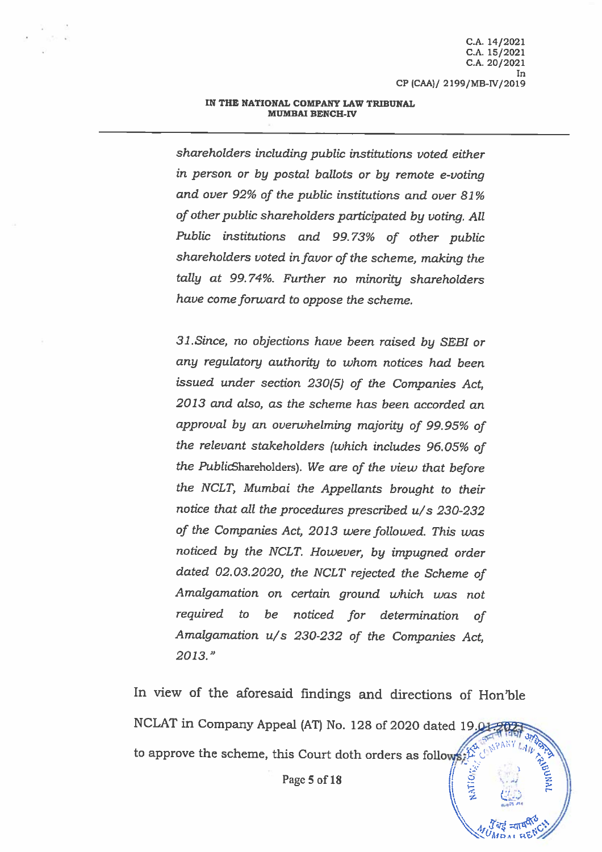C.A. 14/2021 C.A. 15/2021 C.A. 20/2021 In. CP (CAA)/ 2199/MB-IV/2019

#### IN THE NATIONAL COMPANY LAW TRIBUNAL **MUMBAI BENCH-IV**

shareholders including public institutions voted either in person or by postal ballots or by remote e-voting and over 92% of the public institutions and over 81% of other public shareholders participated by voting. All Public institutions and 99.73% of other public shareholders voted in favor of the scheme, making the tally at 99.74%. Further no minority shareholders have come forward to oppose the scheme.

31. Since, no objections have been raised by SEBI or any regulatory authority to whom notices had been issued under section 230(5) of the Companies Act, 2013 and also, as the scheme has been accorded an approval by an overwhelming majority of 99.95% of the relevant stakeholders (which includes 96.05% of the PublicShareholders). We are of the view that before the NCLT, Mumbai the Appellants brought to their notice that all the procedures prescribed u/s 230-232 of the Companies Act, 2013 were followed. This was noticed by the NCLT. However, by impugned order dated 02.03.2020, the NCLT rejected the Scheme of Amalgamation on certain ground which was not required to  $be$ noticed for determination οf Amalgamation u/s 230-232 of the Companies Act, 2013."

In view of the aforesaid findings and directions of Hon'ble NCLAT in Company Appeal (AT) No. 128 of 2020 dated 19.04  $\iota_{4k}$ to approve the scheme, this Court doth orders as follows:

Page 5 of 18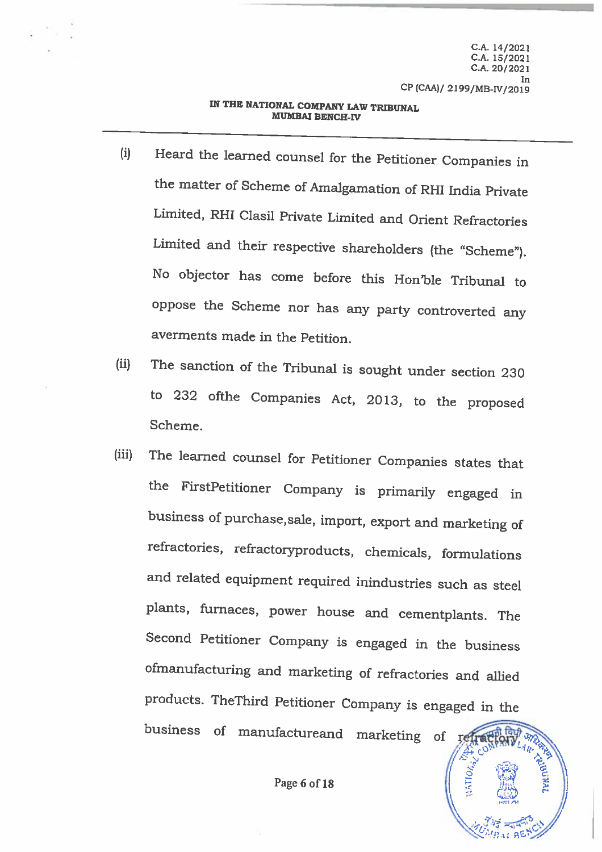C.A. 14/2021 C.A. 15/2021 C.A. 20/2021 In CP (CAA)/ 2199/MB-IV/2019

# IN THE NATIONAL COMPANY LAW TRIBUNAL **MUMBAI BENCH-IV**

- $(i)$ Heard the learned counsel for the Petitioner Companies in the matter of Scheme of Amalgamation of RHI India Private Limited, RHI Clasil Private Limited and Orient Refractories Limited and their respective shareholders (the "Scheme"). No objector has come before this Hon'ble Tribunal to oppose the Scheme nor has any party controverted any averments made in the Petition.
- The sanction of the Tribunal is sought under section 230  $(ii)$ to 232 of the Companies Act, 2013, to the proposed Scheme.
- The learned counsel for Petitioner Companies states that  $(iii)$ the FirstPetitioner Company is primarily engaged in business of purchase, sale, import, export and marketing of refractories, refractoryproducts, chemicals, formulations and related equipment required inindustries such as steel plants, furnaces, power house and cementplants. The Second Petitioner Company is engaged in the business ofmanufacturing and marketing of refractories and allied products. TheThird Petitioner Company is engaged in the business of manufactureand marketing of refrac

Page 6 of 18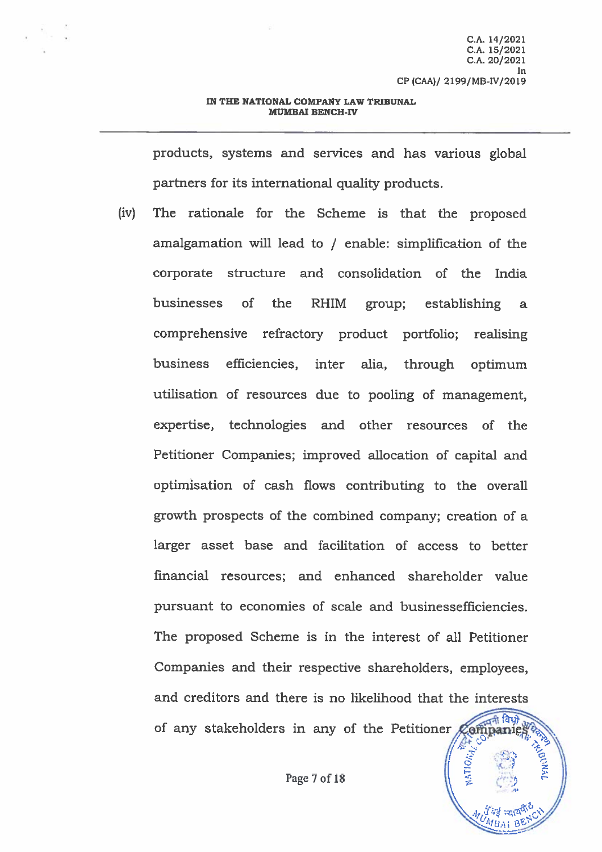products, systems and services and has various global partners for its international quality products.

 $(iv)$ The rationale for the Scheme is that the proposed amalgamation will lead to / enable: simplification of the corporate structure and consolidation of the India businesses of the **RHIM** group; establishing a. comprehensive refractory product portfolio; realising **business** efficiencies, inter alia, through optimum utilisation of resources due to pooling of management. expertise, technologies and other resources of the Petitioner Companies; improved allocation of capital and optimisation of cash flows contributing to the overall growth prospects of the combined company; creation of a larger asset base and facilitation of access to better financial resources; and enhanced shareholder value pursuant to economies of scale and businessefficiencies. The proposed Scheme is in the interest of all Petitioner Companies and their respective shareholders, employees, and creditors and there is no likelihood that the interests of any stakeholders in any of the Petitioner Companie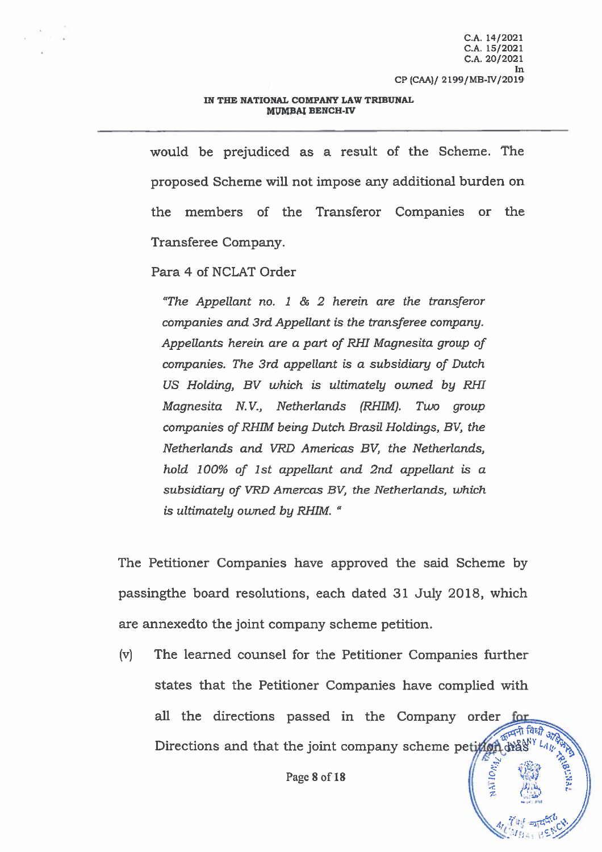would be prejudiced as a result of the Scheme. The proposed Scheme will not impose any additional burden on the members of the Transferor Companies or the Transferee Company.

Para 4 of NCLAT Order

"The Appellant no. 1  $\&$  2 herein are the transferor companies and 3rd Appellant is the transferee company. Appellants herein are a part of RHI Magnesita group of companies. The 3rd appellant is a subsidiary of Dutch US Holding, BV which is ultimately owned by RHI Magnesita N.V., Netherlands (RHIM). Two group companies of RHIM being Dutch Brasil Holdings, BV, the Netherlands and VRD Americas BV, the Netherlands, hold 100% of 1st appellant and 2nd appellant is a subsidiary of VRD Amercas BV, the Netherlands, which is ultimately owned by RHIM. "

The Petitioner Companies have approved the said Scheme by passing the board resolutions, each dated 31 July 2018, which are annexed to the joint company scheme petition.

The learned counsel for the Petitioner Companies further  $(v)$ states that the Petitioner Companies have complied with all the directions passed in the Company order for व्यनी विधी Directions and that the joint company scheme peting that

Page 8 of 18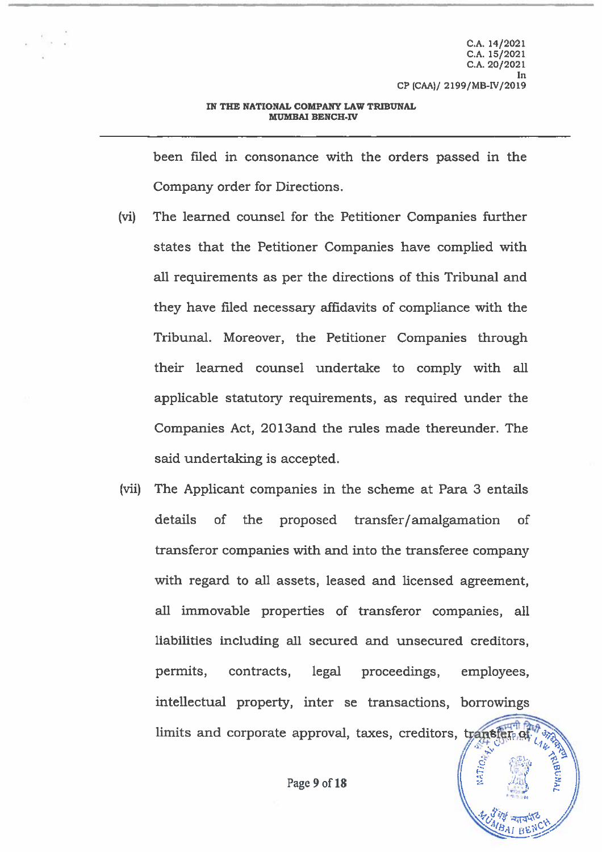C.A. 14/2021 C.A. 15/2021 C.A. 20/2021 In CP (CAA)/ 2199/MB-IV/2019

NATIO<sub>2</sub>

# IN THE NATIONAL COMPANY LAW TRIBUNAL **MUMBAI BENCH-IV**

been filed in consonance with the orders passed in the Company order for Directions.

- $(vi)$ The learned counsel for the Petitioner Companies further states that the Petitioner Companies have complied with all requirements as per the directions of this Tribunal and they have filed necessary affidavits of compliance with the Tribunal. Moreover, the Petitioner Companies through their learned counsel undertake to comply with all applicable statutory requirements, as required under the Companies Act, 2013 and the rules made thereunder. The said undertaking is accepted.
- $(vii)$ The Applicant companies in the scheme at Para 3 entails details  $of$ the proposed transfer/amalgamation  $\sigma$ transferor companies with and into the transferee company with regard to all assets, leased and licensed agreement, all immovable properties of transferor companies, all liabilities including all secured and unsecured creditors, permits, contracts, legal employees. proceedings, intellectual property, inter se transactions, borrowings limits and corporate approval, taxes, creditors, transfered

Page 9 of 18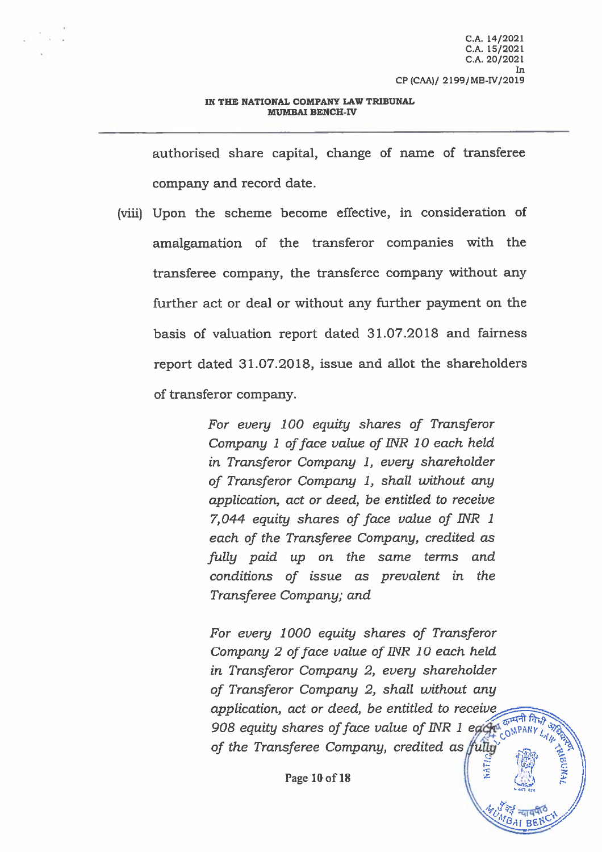authorised share capital, change of name of transferee company and record date.

(viii) Upon the scheme become effective, in consideration of amalgamation of the transferor companies with the transferee company, the transferee company without any further act or deal or without any further payment on the basis of valuation report dated 31.07.2018 and fairness report dated 31.07.2018, issue and allot the shareholders of transferor company.

> For every 100 equity shares of Transferor Company 1 of face value of INR 10 each held in Transferor Company 1, every shareholder of Transferor Company 1, shall without any application, act or deed, be entitled to receive 7,044 equity shares of face value of INR 1 each of the Transferee Company, credited as fully paid up on the same terms and conditions of issue as prevalent in the Transferee Company; and

For every 1000 equity shares of Transferor Company 2 of face value of INR 10 each held in Transferor Company 2, every shareholder of Transferor Company 2, shall without any application, act or deed, be entitled to receive 908 equity shares of face value of INR 1 each  $\frac{1}{2}$  on PARY of the Transferee Company, credited as fully

Page 10 of 18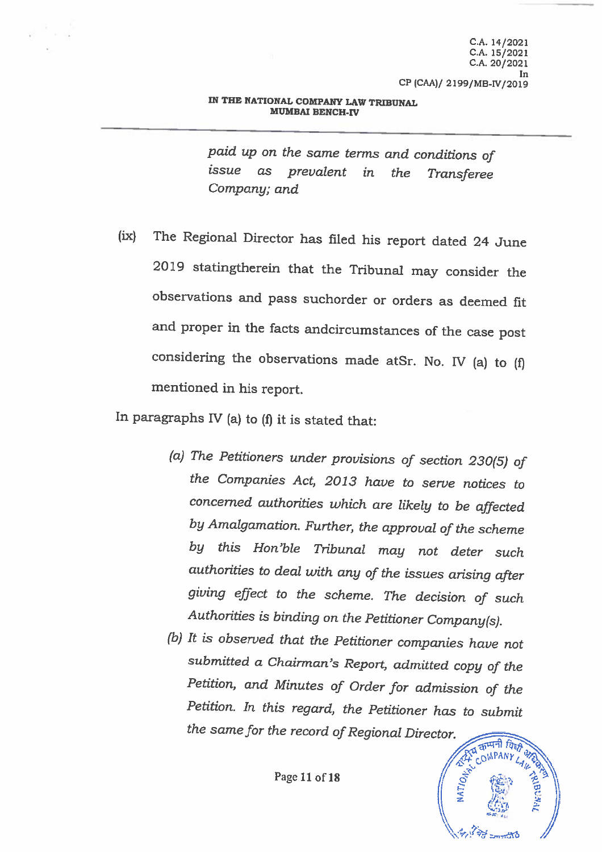paid up on the same terms and conditions of issue as prevalent in the **Transferee** Company; and

The Regional Director has filed his report dated 24 June  $(ix)$ 2019 statingtherein that the Tribunal may consider the observations and pass suchorder or orders as deemed fit and proper in the facts andcircumstances of the case post considering the observations made atSr. No. IV (a) to (f) mentioned in his report.

In paragraphs IV (a) to (f) it is stated that:

- (a) The Petitioners under provisions of section 230(5) of the Companies Act, 2013 have to serve notices to concerned authorities which are likely to be affected by Amalgamation. Further, the approval of the scheme by this Hon'ble Tribunal may not deter such authorities to deal with any of the issues arising after giving effect to the scheme. The decision of such Authorities is binding on the Petitioner Company(s).
- (b) It is observed that the Petitioner companies have not submitted a Chairman's Report, admitted copy of the Petition, and Minutes of Order for admission of the Petition. In this regard, the Petitioner has to submit the same for the record of Regional Director. ATT COMPANY LAW DRA

 $2\frac{1}{2}$   $\frac{1}{2}$   $\frac{1}{2}$   $\frac{1}{2}$   $\frac{1}{2}$   $\frac{1}{2}$   $\frac{1}{2}$   $\frac{1}{2}$   $\frac{1}{2}$   $\frac{1}{2}$   $\frac{1}{2}$   $\frac{1}{2}$   $\frac{1}{2}$   $\frac{1}{2}$   $\frac{1}{2}$   $\frac{1}{2}$   $\frac{1}{2}$   $\frac{1}{2}$   $\frac{1}{2}$   $\frac{1}{2}$   $\frac{1}{2}$   $\frac{1}{2}$ 

Page 11 of 18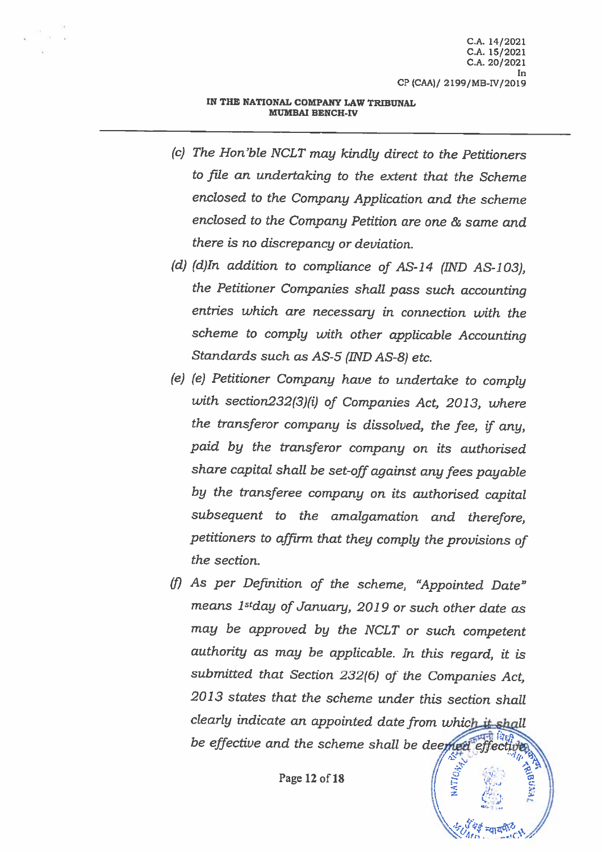- (c) The Hon'ble NCLT may kindly direct to the Petitioners to file an undertaking to the extent that the Scheme enclosed to the Company Application and the scheme enclosed to the Company Petition are one & same and there is no discrepancy or deviation.
- (d) (d)In addition to compliance of AS-14 (IND AS-103), the Petitioner Companies shall pass such accounting entries which are necessary in connection with the scheme to comply with other applicable Accounting Standards such as AS-5 (IND AS-8) etc.
- (e) (e) Petitioner Company have to undertake to comply with section232(3)(i) of Companies Act, 2013, where the transferor company is dissolved, the fee, if any, paid by the transferor company on its authorised share capital shall be set-off against any fees payable by the transferee company on its authorised capital subsequent to the amalgamation and therefore. petitioners to affirm that they comply the provisions of the section.
- (f) As per Definition of the scheme, "Appointed Date" means 1stday of January, 2019 or such other date as may be approved by the NCLT or such competent authority as may be applicable. In this regard, it is submitted that Section 232(6) of the Companies Act, 2013 states that the scheme under this section shall clearly indicate an appointed date from which it shall be effective and the scheme shall be deemed effective

Page 12 of 18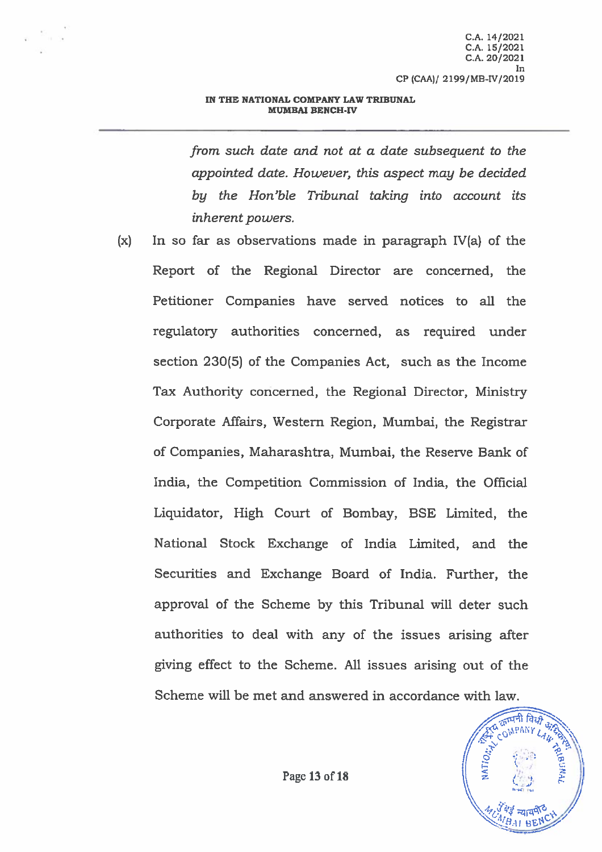from such date and not at a date subsequent to the appointed date. However, this aspect may be decided by the Hon'ble Tribunal taking into account its inherent powers.

 $(x)$ In so far as observations made in paragraph IV(a) of the Report of the Regional Director are concerned, the Petitioner Companies have served notices to all the regulatory authorities concerned, as required under section 230(5) of the Companies Act, such as the Income Tax Authority concerned, the Regional Director, Ministry Corporate Affairs, Western Region, Mumbai, the Registrar of Companies, Maharashtra, Mumbai, the Reserve Bank of India, the Competition Commission of India, the Official Liquidator, High Court of Bombay, BSE Limited, the National Stock Exchange of India Limited, and the Securities and Exchange Board of India. Further, the approval of the Scheme by this Tribunal will deter such authorities to deal with any of the issues arising after giving effect to the Scheme. All issues arising out of the Scheme will be met and answered in accordance with law.



Page 13 of 18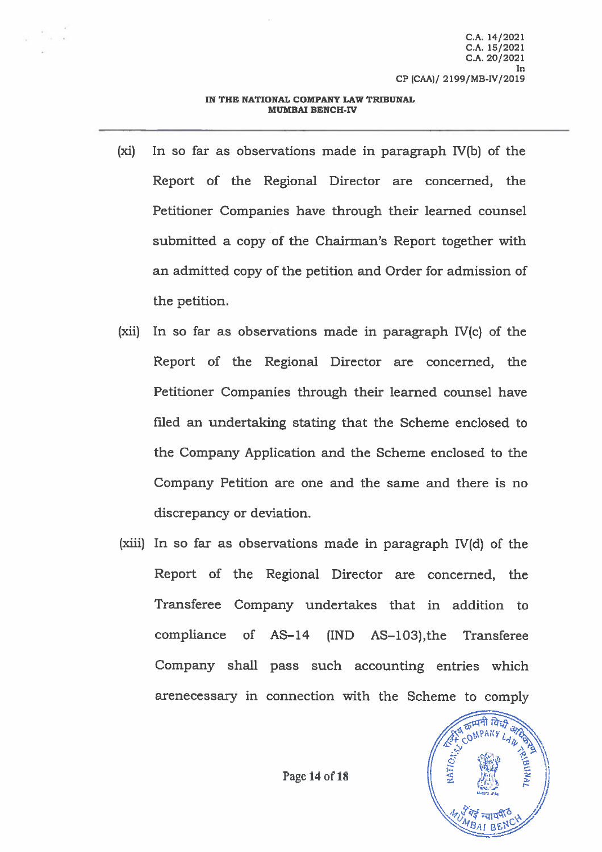- $(xi)$ In so far as observations made in paragraph IV(b) of the Report of the Regional Director are concerned, the Petitioner Companies have through their learned counsel submitted a copy of the Chairman's Report together with an admitted copy of the petition and Order for admission of the petition.
- In so far as observations made in paragraph IV(c) of the  $(xii)$ Report of the Regional Director are concerned, the Petitioner Companies through their learned counsel have filed an undertaking stating that the Scheme enclosed to the Company Application and the Scheme enclosed to the Company Petition are one and the same and there is no discrepancy or deviation.
- (xiii) In so far as observations made in paragraph IV(d) of the Report of the Regional Director are concerned, the Transferee Company undertakes that in addition to compliance of AS-14  $(IND<sub>AS-103</sub>)$ , the Transferee Company shall pass such accounting entries which arenecessary in connection with the Scheme to comply



Page 14 of 18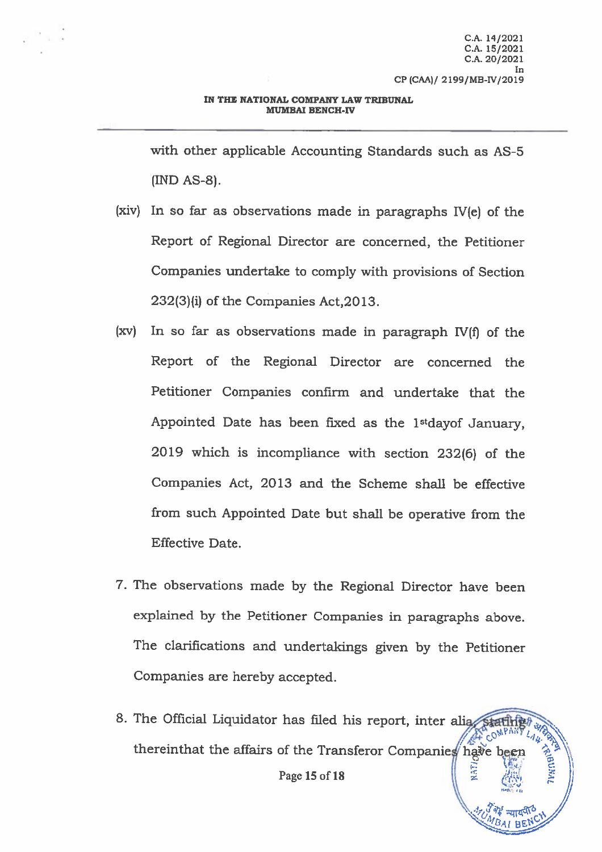with other applicable Accounting Standards such as AS-5  $(IND AS-8).$ 

- (xiv) In so far as observations made in paragraphs IV(e) of the Report of Regional Director are concerned, the Petitioner Companies undertake to comply with provisions of Section 232(3)(i) of the Companies Act, 2013.
- $(xv)$ In so far as observations made in paragraph  $IV(f)$  of the Report of the Regional Director are concerned the Petitioner Companies confirm and undertake that the Appointed Date has been fixed as the 1<sup>st</sup>day of January, 2019 which is incompliance with section 232(6) of the Companies Act, 2013 and the Scheme shall be effective from such Appointed Date but shall be operative from the Effective Date.
- 7. The observations made by the Regional Director have been explained by the Petitioner Companies in paragraphs above. The clarifications and undertakings given by the Petitioner Companies are hereby accepted.
- 8. The Official Liquidator has filed his report, inter alia f cop thereinthat the affairs of the Transferor Companies have been

Page 15 of 18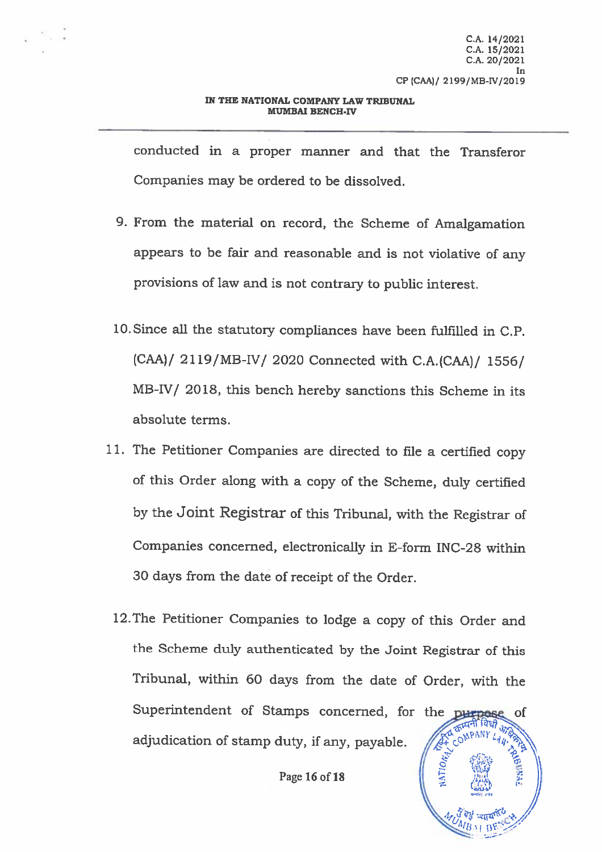conducted in a proper manner and that the Transferor Companies may be ordered to be dissolved.

- 9. From the material on record, the Scheme of Amalgamation appears to be fair and reasonable and is not violative of any provisions of law and is not contrary to public interest.
- 10. Since all the statutory compliances have been fulfilled in C.P. (CAA)/ 2119/MB-IV/ 2020 Connected with C.A.(CAA)/ 1556/ MB-IV/ 2018, this bench hereby sanctions this Scheme in its absolute terms.
- 11. The Petitioner Companies are directed to file a certified copy of this Order along with a copy of the Scheme, duly certified by the Joint Registrar of this Tribunal, with the Registrar of Companies concerned, electronically in E-form INC-28 within 30 days from the date of receipt of the Order.
- 12. The Petitioner Companies to lodge a copy of this Order and the Scheme duly authenticated by the Joint Registrar of this Tribunal, within 60 days from the date of Order, with the Superintendent of Stamps concerned, for the **DHITPOS** of COMPAN adjudication of stamp duty, if any, payable.

Page 16 of 18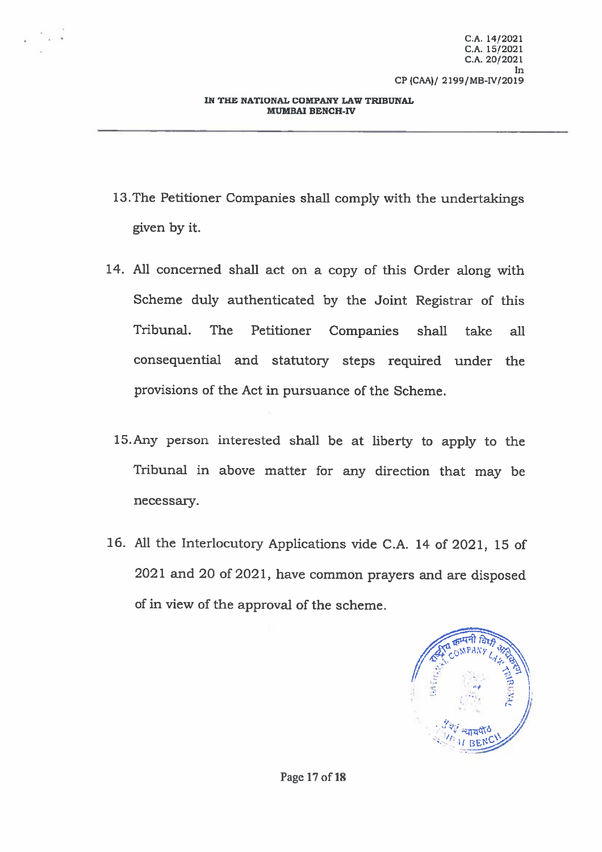- 13. The Petitioner Companies shall comply with the undertakings given by it.
- 14. All concerned shall act on a copy of this Order along with Scheme duly authenticated by the Joint Registrar of this Tribunal. The Petitioner Companies shall take all consequential and statutory steps required under the provisions of the Act in pursuance of the Scheme.
	- 15. Any person interested shall be at liberty to apply to the Tribunal in above matter for any direction that may be necessary.
- 16. All the Interlocutory Applications vide C.A. 14 of 2021, 15 of 2021 and 20 of 2021, have common prayers and are disposed of in view of the approval of the scheme.